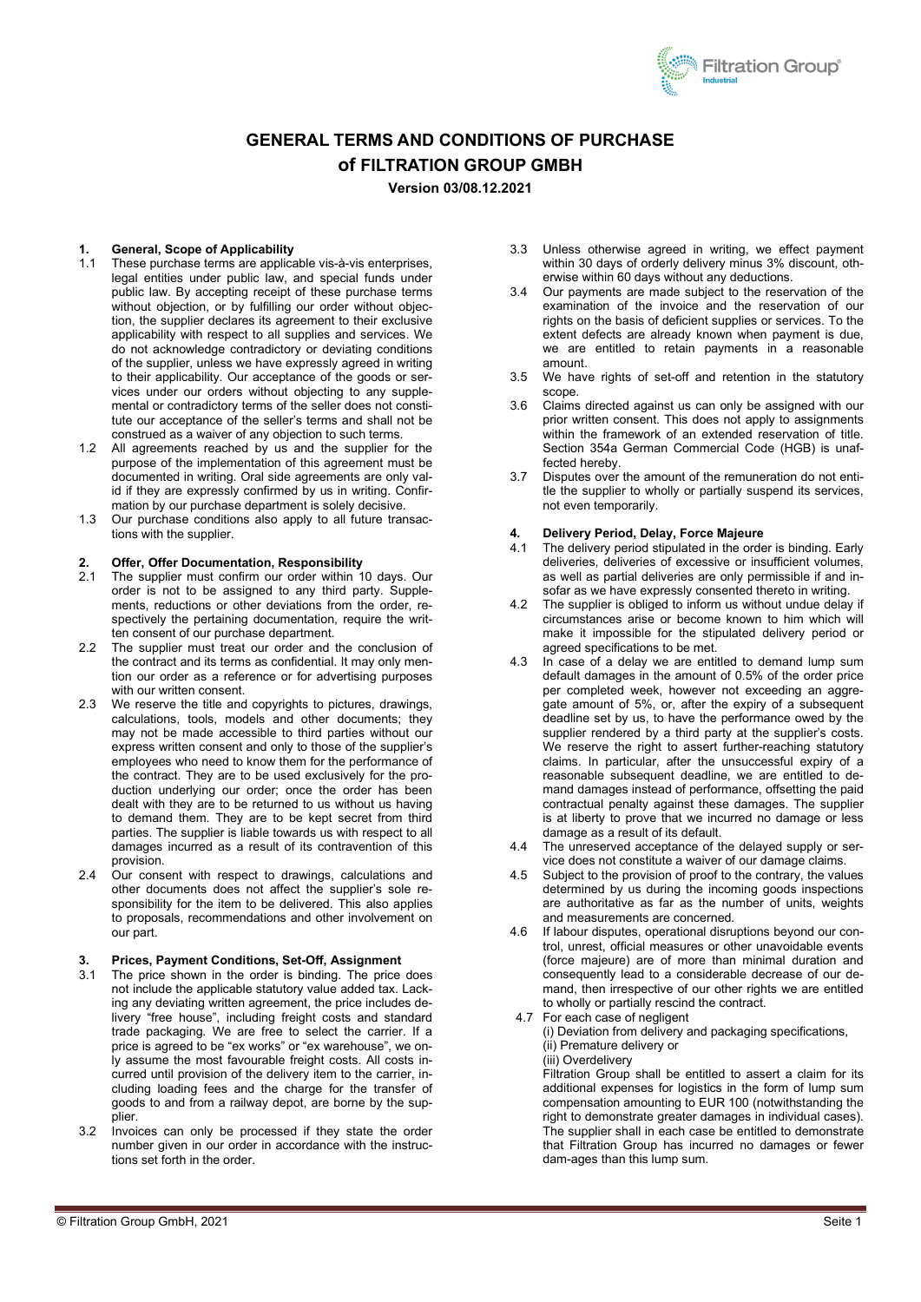### **GENERAL TERMS AND CONDITIONS OF PURCHASE of FILTRATION GROUP GMBH**

**Version 03/08.12.2021**

### **1. General, Scope of Applicability**

- These purchase terms are applicable vis-à-vis enterprises, legal entities under public law, and special funds under public law. By accepting receipt of these purchase terms without objection, or by fulfilling our order without objection, the supplier declares its agreement to their exclusive applicability with respect to all supplies and services. We do not acknowledge contradictory or deviating conditions of the supplier, unless we have expressly agreed in writing to their applicability. Our acceptance of the goods or services under our orders without objecting to any supplemental or contradictory terms of the seller does not constitute our acceptance of the seller's terms and shall not be construed as a waiver of any objection to such terms.
- 1.2 All agreements reached by us and the supplier for the purpose of the implementation of this agreement must be documented in writing. Oral side agreements are only valid if they are expressly confirmed by us in writing. Confirmation by our purchase department is solely decisive.
- 1.3 Our purchase conditions also apply to all future transactions with the supplier.

### **2. Offer, Offer Documentation, Responsibility**

- The supplier must confirm our order within 10 days. Our order is not to be assigned to any third party. Supplements, reductions or other deviations from the order, respectively the pertaining documentation, require the written consent of our purchase department.
- 2.2 The supplier must treat our order and the conclusion of the contract and its terms as confidential. It may only mention our order as a reference or for advertising purposes with our written consent.
- 2.3 We reserve the title and copyrights to pictures, drawings, calculations, tools, models and other documents; they may not be made accessible to third parties without our express written consent and only to those of the supplier's employees who need to know them for the performance of the contract. They are to be used exclusively for the production underlying our order; once the order has been dealt with they are to be returned to us without us having to demand them. They are to be kept secret from third parties. The supplier is liable towards us with respect to all damages incurred as a result of its contravention of this provision.
- 2.4 Our consent with respect to drawings, calculations and other documents does not affect the supplier's sole responsibility for the item to be delivered. This also applies to proposals, recommendations and other involvement on our part.

### **3. Prices, Payment Conditions, Set-Off, Assignment**

- 3.1 The price shown in the order is binding. The price does not include the applicable statutory value added tax. Lacking any deviating written agreement, the price includes delivery "free house", including freight costs and standard trade packaging. We are free to select the carrier. If a price is agreed to be "ex works" or "ex warehouse", we only assume the most favourable freight costs. All costs incurred until provision of the delivery item to the carrier, including loading fees and the charge for the transfer of goods to and from a railway depot, are borne by the sup**plier**
- 3.2 Invoices can only be processed if they state the order number given in our order in accordance with the instructions set forth in the order.
- 3.3 Unless otherwise agreed in writing, we effect payment within 30 days of orderly delivery minus 3% discount, otherwise within 60 days without any deductions.
- 3.4 Our payments are made subject to the reservation of the examination of the invoice and the reservation of our rights on the basis of deficient supplies or services. To the extent defects are already known when payment is due. we are entitled to retain payments in a reasonable amount.
- 3.5 We have rights of set-off and retention in the statutory scope.
- 3.6 Claims directed against us can only be assigned with our prior written consent. This does not apply to assignments within the framework of an extended reservation of title. Section 354a German Commercial Code (HGB) is unaffected hereby.
- 3.7 Disputes over the amount of the remuneration do not entitle the supplier to wholly or partially suspend its services, not even temporarily.

## **4. Delivery Period, Delay, Force Majeure**

- The delivery period stipulated in the order is binding. Early deliveries, deliveries of excessive or insufficient volumes, as well as partial deliveries are only permissible if and insofar as we have expressly consented thereto in writing.
- 4.2 The supplier is obliged to inform us without undue delay if circumstances arise or become known to him which will make it impossible for the stipulated delivery period or agreed specifications to be met.
- 4.3 In case of a delay we are entitled to demand lump sum default damages in the amount of 0.5% of the order price per completed week, however not exceeding an aggreate amount of 5%, or, after the expiry of a subsequent deadline set by us, to have the performance owed by the supplier rendered by a third party at the supplier's costs. We reserve the right to assert further-reaching statutory claims. In particular, after the unsuccessful expiry of a reasonable subsequent deadline, we are entitled to demand damages instead of performance, offsetting the paid contractual penalty against these damages. The supplier is at liberty to prove that we incurred no damage or less damage as a result of its default.
- 4.4 The unreserved acceptance of the delayed supply or service does not constitute a waiver of our damage claims.
- 4.5 Subject to the provision of proof to the contrary, the values determined by us during the incoming goods inspections are authoritative as far as the number of units, weights and measurements are concerned.
- 4.6 If labour disputes, operational disruptions beyond our control, unrest, official measures or other unavoidable events (force majeure) are of more than minimal duration and consequently lead to a considerable decrease of our demand, then irrespective of our other rights we are entitled to wholly or partially rescind the contract.
- 4.7 For each case of negligent (i) Deviation from delivery and packaging specifications, (ii) Premature delivery or (iii) Overdelivery

Filtration Group shall be entitled to assert a claim for its additional expenses for logistics in the form of lump sum compensation amounting to EUR 100 (notwithstanding the right to demonstrate greater damages in individual cases). The supplier shall in each case be entitled to demonstrate that Filtration Group has incurred no damages or fewer dam-ages than this lump sum.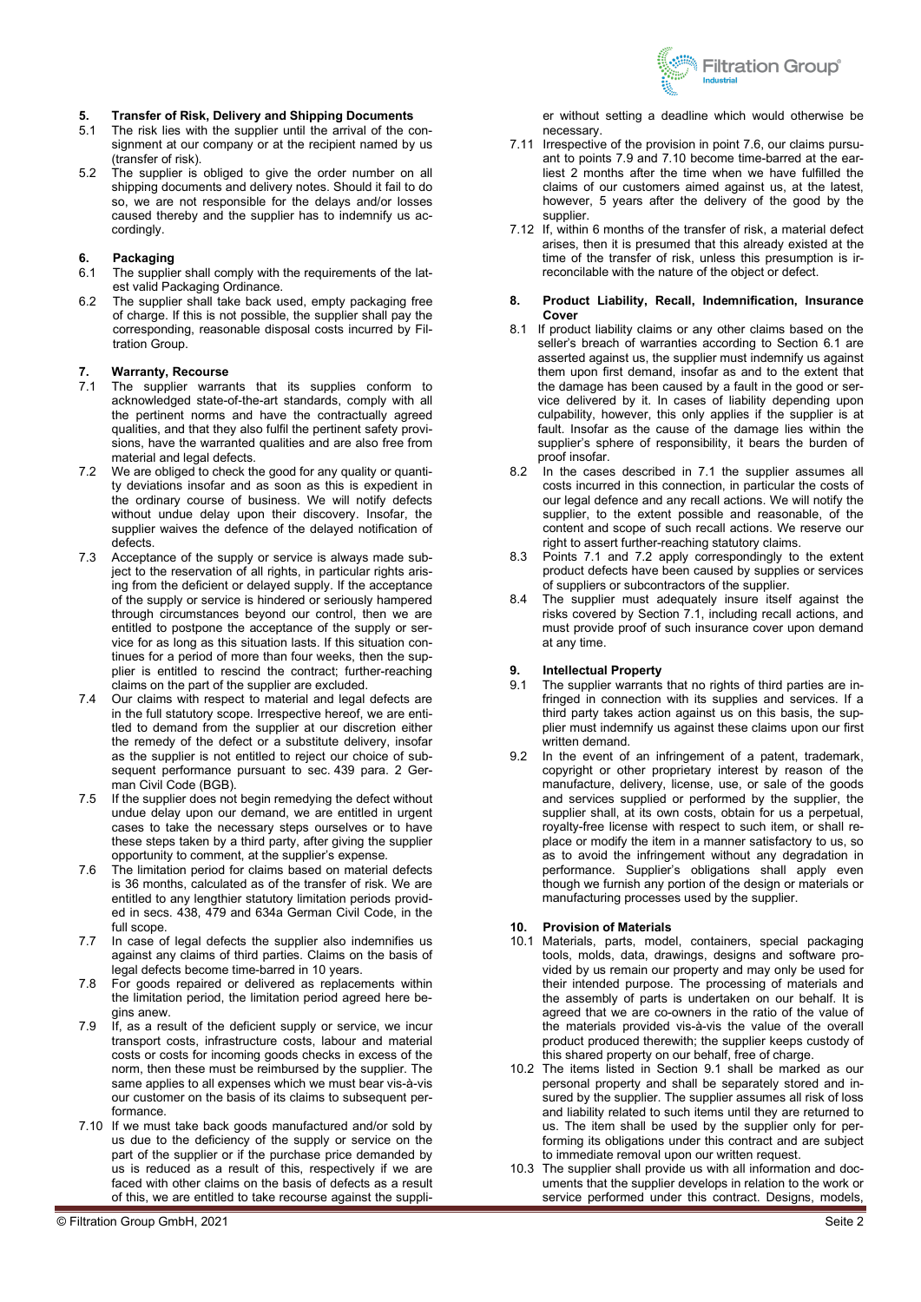

### **5. Transfer of Risk, Delivery and Shipping Documents**

- The risk lies with the supplier until the arrival of the consignment at our company or at the recipient named by us (transfer of risk).
- 5.2 The supplier is obliged to give the order number on all shipping documents and delivery notes. Should it fail to do so, we are not responsible for the delays and/or losses caused thereby and the supplier has to indemnify us accordingly.

# **6. Packaging**

- The supplier shall comply with the requirements of the latest valid Packaging Ordinance.
- 6.2 The supplier shall take back used, empty packaging free of charge. If this is not possible, the supplier shall pay the corresponding, reasonable disposal costs incurred by Filtration Group.

#### **7. Warranty, Recourse**

- 7.1 The supplier warrants that its supplies conform to acknowledged state-of-the-art standards, comply with all the pertinent norms and have the contractually agreed qualities, and that they also fulfil the pertinent safety provisions, have the warranted qualities and are also free from material and legal defects.
- 7.2 We are obliged to check the good for any quality or quantity deviations insofar and as soon as this is expedient in the ordinary course of business. We will notify defects without undue delay upon their discovery. Insofar, the supplier waives the defence of the delayed notification of defects.
- 7.3 Acceptance of the supply or service is always made subject to the reservation of all rights, in particular rights arising from the deficient or delayed supply. If the acceptance of the supply or service is hindered or seriously hampered through circumstances beyond our control, then we are entitled to postpone the acceptance of the supply or service for as long as this situation lasts. If this situation continues for a period of more than four weeks, then the supplier is entitled to rescind the contract; further-reaching claims on the part of the supplier are excluded.
- 7.4 Our claims with respect to material and legal defects are in the full statutory scope. Irrespective hereof, we are entitled to demand from the supplier at our discretion either the remedy of the defect or a substitute delivery, insofar as the supplier is not entitled to reject our choice of subsequent performance pursuant to sec. 439 para. 2 German Civil Code (BGB).
- 7.5 If the supplier does not begin remedying the defect without undue delay upon our demand, we are entitled in urgent cases to take the necessary steps ourselves or to have these steps taken by a third party, after giving the supplier opportunity to comment, at the supplier's expense.
- 7.6 The limitation period for claims based on material defects is 36 months, calculated as of the transfer of risk. We are entitled to any lengthier statutory limitation periods provided in secs. 438, 479 and 634a German Civil Code, in the full scope.
- 7.7 In case of legal defects the supplier also indemnifies us against any claims of third parties. Claims on the basis of legal defects become time-barred in 10 years.
- 7.8 For goods repaired or delivered as replacements within the limitation period, the limitation period agreed here begins anew.
- 7.9 If, as a result of the deficient supply or service, we incur transport costs, infrastructure costs, labour and material costs or costs for incoming goods checks in excess of the norm, then these must be reimbursed by the supplier. The same applies to all expenses which we must bear vis-à-vis our customer on the basis of its claims to subsequent performance.
- 7.10 If we must take back goods manufactured and/or sold by us due to the deficiency of the supply or service on the part of the supplier or if the purchase price demanded by us is reduced as a result of this, respectively if we are faced with other claims on the basis of defects as a result of this, we are entitled to take recourse against the suppli-

er without setting a deadline which would otherwise be necessary.

- 7.11 Irrespective of the provision in point 7.6, our claims pursuant to points 7.9 and 7.10 become time-barred at the earliest 2 months after the time when we have fulfilled the claims of our customers aimed against us, at the latest, however, 5 years after the delivery of the good by the supplier.
- 7.12 If, within 6 months of the transfer of risk, a material defect arises, then it is presumed that this already existed at the time of the transfer of risk, unless this presumption is irreconcilable with the nature of the object or defect.

#### **8. Product Liability, Recall, Indemnification, Insurance Cover**

- 8.1 If product liability claims or any other claims based on the seller's breach of warranties according to Section 6.1 are asserted against us, the supplier must indemnify us against them upon first demand, insofar as and to the extent that the damage has been caused by a fault in the good or service delivered by it. In cases of liability depending upon culpability, however, this only applies if the supplier is at fault. Insofar as the cause of the damage lies within the supplier's sphere of responsibility, it bears the burden of proof insofar.
- 8.2 In the cases described in 7.1 the supplier assumes all costs incurred in this connection, in particular the costs of our legal defence and any recall actions. We will notify the supplier, to the extent possible and reasonable, of the content and scope of such recall actions. We reserve our right to assert further-reaching statutory claims.
- 8.3 Points 7.1 and 7.2 apply correspondingly to the extent product defects have been caused by supplies or services of suppliers or subcontractors of the supplier.
- 8.4 The supplier must adequately insure itself against the risks covered by Section 7.1, including recall actions, and must provide proof of such insurance cover upon demand at any time.

- **9. Intellectual Property** 9.1 The supplier warrants The supplier warrants that no rights of third parties are infringed in connection with its supplies and services. If a third party takes action against us on this basis, the supplier must indemnify us against these claims upon our first written demand.
- 9.2 In the event of an infringement of a patent, trademark, copyright or other proprietary interest by reason of the manufacture, delivery, license, use, or sale of the goods and services supplied or performed by the supplier, the supplier shall, at its own costs, obtain for us a perpetual, royalty-free license with respect to such item, or shall replace or modify the item in a manner satisfactory to us, so as to avoid the infringement without any degradation in performance. Supplier's obligations shall apply even though we furnish any portion of the design or materials or manufacturing processes used by the supplier.

#### **10. Provision of Materials**

- 10.1 Materials, parts, model, containers, special packaging tools, molds, data, drawings, designs and software provided by us remain our property and may only be used for their intended purpose. The processing of materials and the assembly of parts is undertaken on our behalf. It is agreed that we are co-owners in the ratio of the value of the materials provided vis-à-vis the value of the overall product produced therewith; the supplier keeps custody of this shared property on our behalf, free of charge.
- 10.2 The items listed in Section 9.1 shall be marked as our personal property and shall be separately stored and insured by the supplier. The supplier assumes all risk of loss and liability related to such items until they are returned to us. The item shall be used by the supplier only for performing its obligations under this contract and are subject to immediate removal upon our written request.
- 10.3 The supplier shall provide us with all information and documents that the supplier develops in relation to the work or service performed under this contract. Designs, models,